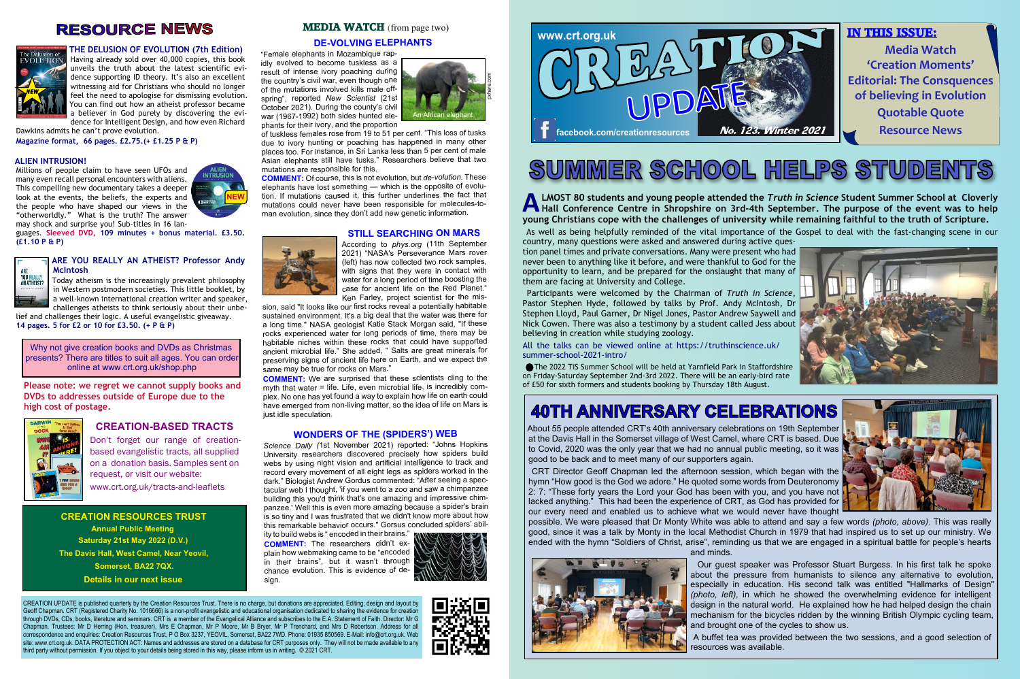#### **THE DELUSION OF EVOLUTION (7th Edition)**

Having already sold over 40,000 copies, this book unveils the truth about the latest scientific evidence supporting ID theory. It's also an excellent witnessing aid for Christians who should no longer feel the need to apologise for dismissing evolution. You can find out how an atheist professor became a believer in God purely by discovering the evi-

dence for Intelligent Design, and how even Richard Dawkins admits he can't prove evolution.

**Magazine format, 66 pages. £2.75.(+ £1.25 P & P)**

#### **ALIEN INTRUSION!**

Millions of people claim to have seen UFOs and many even recall personal encounters with aliens. This compelling new documentary takes a deeper look at the events, the beliefs, the experts and the people who have shaped our views in the "otherworldly." What is the truth? The answer may shock and surprise you! Sub-titles in 16 lan-

**A** LMOST 80 students and young people attended the *Truth in Science* Student Summer School at Cloverly<br>Hall Conference Centre in Shropshire on 3rd-4th September. The purpose of the event was to help<br>wayng Christians sens **Hall Conference Centre in Shropshire on 3rd-4th September. The purpose of the event was to help young Christians cope with the challenges of university while remaining faithful to the truth of Scripture.** As well as being helpfully reminded of the vital importance of the Gospel to deal with the fast-changing scene in our

guages. **Sleeved DVD, 109 minutes + bonus material. £3.50. (£1.10 P & P)**



#### **ARE YOU REALLY AN ATHEIST? Professor Andy McIntosh**

Today atheism is the increasingly prevalent philosophy in Western postmodern societies. This little booklet, by a well-known international creation writer and speaker, challenges atheists to think seriously about their unbe-

lief and challenges their logic. A useful evangelistic giveaway. **14 pages. 5 for £2 or 10 for £3.50. (+ P & P)**

# **SUMMER SCHOOL HELPS STUDENTS**

country, many questions were asked and answered during active question panel times and private conversations. Many were present who had never been to anything like it before, and were thankful to God for the opportunity to learn, and be prepared for the onslaught that many of them are facing at University and College.

 Participants were welcomed by the Chairman of *Truth in Science*, Pastor Stephen Hyde, followed by talks by Prof. Andy McIntosh, Dr Stephen Lloyd, Paul Garner, Dr Nigel Jones, Pastor Andrew Saywell and Nick Cowen. There was also a testimony by a student called Jess about believing in creation while studying zoology.

All the talks can be viewed online at https://truthinscience.uk/ summer-school-2021-intro/

 The 2022 TiS Summer School will be held at Yarnfield Park in Staffordshire on Friday-Saturday September 2nd-3rd 2022. There will be an early-bird rate of £50 for sixth formers and students booking by Thursday 18th August.

ity to build webs is " encoded in their brains." **COMMENT:** The researchers didn't explain how webmaking came to be "encoded in their brains", but it wasn't through chance evolution. This is evidence of desian



#### **DE-VOLVING ELEPHANTS**

"Female elephants in Mozambique rapidly evolved to become tuskless as a result of intense ivory poaching during the country's civil war, even though one of the mutations involved kills male offspring", reported *New Scientist* (21st October 2021). During the county's civil war (1967-1992) both sides hunted elephants for their ivory, and the proportion

of tuskless females rose from 19 to 51 per cent. "This loss of tusks due to ivory hunting or poaching has happened in many other places too. For instance, in Sri Lanka less than 5 per cent of male Asian elephants still have tusks." Researchers believe that two mutations are responsible for this.

**COMMENT:** Of course, this is not evolution, but *de-volution.* These elephants have lost something — which is the opposite of evolution. If mutations caused it, this further underlines the fact that mutations could never have been responsible for molecules-toman evolution, since they don't add new genetic information.

#### **STILL SEARCHING ON MARS**



According to *phys.org* (11th September 2021) "NASA's Perseverance Mars rover (left) has now collected two rock samples, with signs that they were in contact with water for a long period of time boosting the case for ancient life on the Red Planet." Ken Farley, project scientist for the mis-

> CRT Director Geoff Chapman led the afternoon session, which began with the hymn "How good is the God we adore." He quoted some words from Deuteronomy 2: 7: "These forty years the Lord your God has been with you, and you have not lacked anything." This had been the experience of CRT, as God has provided for our every need and enabled us to achieve what we would never have thought possible. We were pleased that Dr Monty White was able to attend and say a few words *(photo, above).* This was really good, since it was a talk by Monty in the local Methodist Church in 1979 that had inspired us to set up our ministry. We ended with the hymn "Soldiers of Christ, arise", reminding us that we are engaged in a spiritual battle for people's hearts and minds.



sion, said "It looks like our first rocks reveal a potentially habitable sustained environment. It's a big deal that the water was there for a long time." NASA geologist Katie Stack Morgan said, "If these rocks experienced water for long periods of time, there may be habitable niches within these rocks that could have supported ancient microbial life." She added, " Salts are great minerals for preserving signs of ancient life here on Earth, and we expect the same may be true for rocks on Mars."

**COMMENT:** We are surprised that these scientists cling to the myth that water = life. Life, even microbial life, is incredibly complex. No one has yet found a way to explain how life on earth could have emerged from non-living matter, so the idea of life on Mars is just idle speculation.



#### **WONDERS OF THE (SPIDERS') WEB**

*Science Daily (*1st November 2021) reported: "Johns Hopkins University researchers discovered precisely how spiders build webs by using night vision and artificial intelligence to track and record every movement of all eight legs as spiders worked in the dark." Biologist Andrew Gordus commented: "After seeing a spectacular web I thought, 'if you went to a zoo and saw a chimpanzee building this you'd think that's one amazing and impressive chimpanzee.' Well this is even more amazing because a spider's brain is so tiny and I was frustrated that we didn't know more about how this remarkable behavior occurs." Gorsus concluded spiders' abil-

CREATION UPDATE is published quarterly by the Creation Resources Trust. There is no charge, but donations are appreciated. Editing, design and layout by Geoff Chapman. CRT (Registered Charity No. 1016666) is a non-profit evangelistic and educational organisation dedicated to sharing the evidence for creation through DVDs, CDs, books, literature and seminars. CRT is a member of the Evangelical Alliance and subscribes to the E.A. Statement of Faith. Director: Mr G Chapman. Trustees: Mr D Herring (Hon. treasurer), Mrs E Chapman, Mr P Moore, Mr B Bryer, Mr P Trenchard, and Mrs D Robertson. Address for all correspondence and enquiries: Creation Resources Trust, P O Box 3237, YEOVIL, Somerset, BA22 7WD. Phone: 01935 850569. E-Mail: info@crt.org.uk. Web site: www.crt.org.uk. DATA PROTECTION ACT: Names and addresses are stored on a database for CRT purposes only. They will not be made available to any third party without permission. If you object to your details being stored in this way, please inform us in writing. © 2021 CRT.

**CREATION RESOURCES TRUST Annual Public Meeting Saturday 21st May 2022 (D.V.) The Davis Hall, West Camel, Near Yeovil, Somerset, BA22 7QX. Details in our next issue**

#### **MEDIA WATCH** (from page two)

Why not give creation books and DVDs as Christmas presents? There are titles to suit all ages. You can order online at www.crt.org.uk/shop.php

## **RESOURCE NEWS**



About 55 people attended CRT's 40th anniversary celebrations on 19th September at the Davis Hall in the Somerset village of West Camel, where CRT is based. Due to Covid, 2020 was the only year that we had no annual public meeting, so it was good to be back and to meet many of our supporters again.



 Our guest speaker was Professor Stuart Burgess. In his first talk he spoke about the pressure from humanists to silence any alternative to evolution, especially in education. His second talk was entitled "Hallmarks of Design" *(photo, left)*, in which he showed the overwhelming evidence for intelligent design in the natural world. He explained how he had helped design the chain mechanism for the bicycles ridden by the winning British Olympic cycling team, and brought one of the cycles to show us. A buffet tea was provided between the two sessions, and a good selection of resources was available.







# **40TH ANNIVERSARY CELEBRATIONS**



**Please note: we regret we cannot supply books and DVDs to addresses outside of Europe due to the high cost of postage.**



#### **CREATION-BASED TRACTS**

Don't forget our range of creationbased evangelistic tracts, all supplied on a donation basis. Samples sent on request, or visit our website: www.crt.org.uk/tracts-and-leaflets